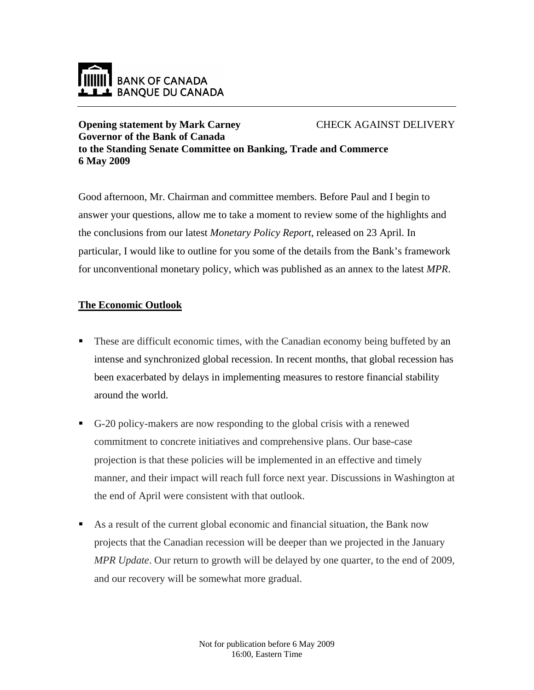

## **Opening statement by Mark Carney Governor of the Bank of Canada** CHECK AGAINST DELIVERY **to the Standing Senate Committee on Banking, Trade and Commerce 6 May 2009**

Good afternoon, Mr. Chairman and committee members. Before Paul and I begin to answer your questions, allow me to take a moment to review some of the highlights and the conclusions from our latest *Monetary Policy Report*, released on 23 April. In particular, I would like to outline for you some of the details from the Bank's framework for unconventional monetary policy, which was published as an annex to the latest *MPR*.

## **The Economic Outlook**

- These are difficult economic times, with the Canadian economy being buffeted by an intense and synchronized global recession. In recent months, that global recession has been exacerbated by delays in implementing measures to restore financial stability around the world.
- G-20 policy-makers are now responding to the global crisis with a renewed commitment to concrete initiatives and comprehensive plans. Our base-case projection is that these policies will be implemented in an effective and timely manner, and their impact will reach full force next year. Discussions in Washington at the end of April were consistent with that outlook.
- As a result of the current global economic and financial situation, the Bank now projects that the Canadian recession will be deeper than we projected in the January *MPR Update*. Our return to growth will be delayed by one quarter, to the end of 2009, and our recovery will be somewhat more gradual.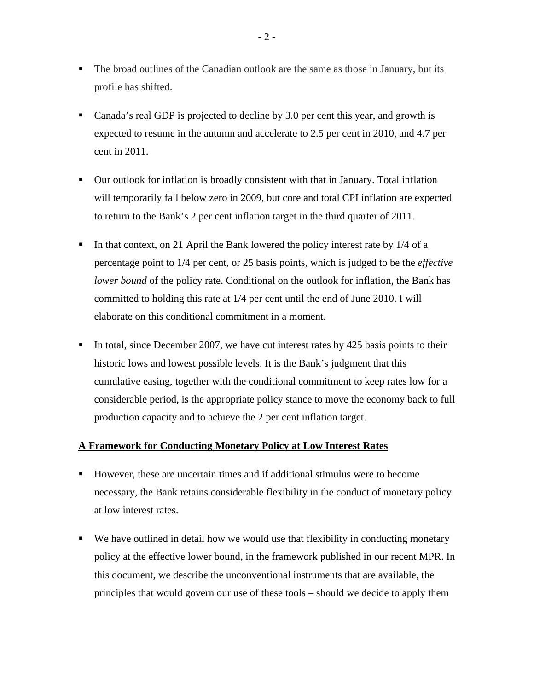- The broad outlines of the Canadian outlook are the same as those in January, but its profile has shifted.
- Canada's real GDP is projected to decline by 3.0 per cent this year, and growth is expected to resume in the autumn and accelerate to 2.5 per cent in 2010, and 4.7 per cent in 2011.
- Our outlook for inflation is broadly consistent with that in January. Total inflation will temporarily fall below zero in 2009, but core and total CPI inflation are expected to return to the Bank's 2 per cent inflation target in the third quarter of 2011.
- In that context, on 21 April the Bank lowered the policy interest rate by  $1/4$  of a percentage point to 1/4 per cent, or 25 basis points, which is judged to be the *effective lower bound* of the policy rate. Conditional on the outlook for inflation, the Bank has committed to holding this rate at 1/4 per cent until the end of June 2010. I will elaborate on this conditional commitment in a moment.
- In total, since December 2007, we have cut interest rates by 425 basis points to their historic lows and lowest possible levels. It is the Bank's judgment that this cumulative easing, together with the conditional commitment to keep rates low for a considerable period, is the appropriate policy stance to move the economy back to full production capacity and to achieve the 2 per cent inflation target.

## **A Framework for Conducting Monetary Policy at Low Interest Rates**

- However, these are uncertain times and if additional stimulus were to become necessary, the Bank retains considerable flexibility in the conduct of monetary policy at low interest rates.
- We have outlined in detail how we would use that flexibility in conducting monetary policy at the effective lower bound, in the framework published in our recent MPR. In this document, we describe the unconventional instruments that are available, the principles that would govern our use of these tools – should we decide to apply them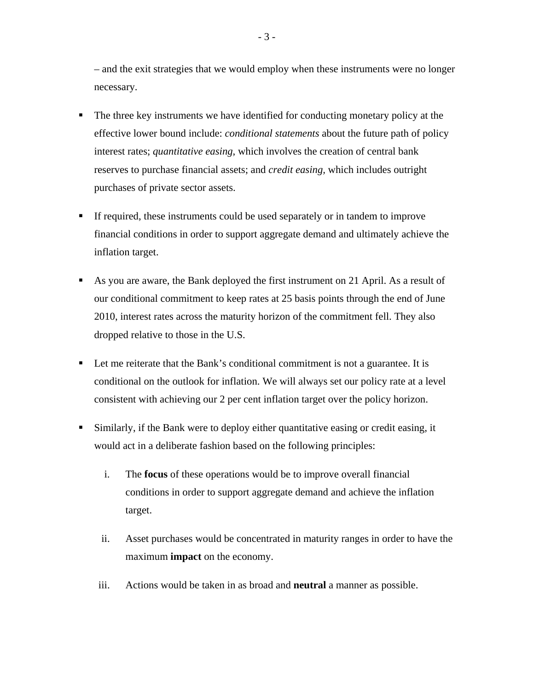– and the exit strategies that we would employ when these instruments were no longer necessary.

- The three key instruments we have identified for conducting monetary policy at the effective lower bound include: *conditional statements* about the future path of policy interest rates; *quantitative easing*, which involves the creation of central bank reserves to purchase financial assets; and *credit easing,* which includes outright purchases of private sector assets.
- If required, these instruments could be used separately or in tandem to improve financial conditions in order to support aggregate demand and ultimately achieve the inflation target.
- As you are aware, the Bank deployed the first instrument on 21 April. As a result of our conditional commitment to keep rates at 25 basis points through the end of June 2010, interest rates across the maturity horizon of the commitment fell. They also dropped relative to those in the U.S.
- Let me reiterate that the Bank's conditional commitment is not a guarantee. It is conditional on the outlook for inflation. We will always set our policy rate at a level consistent with achieving our 2 per cent inflation target over the policy horizon.
- Similarly, if the Bank were to deploy either quantitative easing or credit easing, it would act in a deliberate fashion based on the following principles:
	- i. The **focus** of these operations would be to improve overall financial conditions in order to support aggregate demand and achieve the inflation target.
	- ii. Asset purchases would be concentrated in maturity ranges in order to have the maximum **impact** on the economy.
	- iii. Actions would be taken in as broad and **neutral** a manner as possible.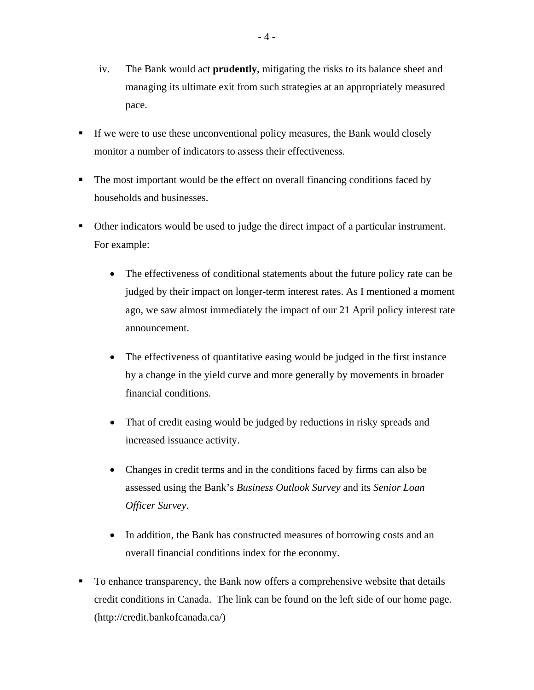- iv. The Bank would act **prudently**, mitigating the risks to its balance sheet and managing its ultimate exit from such strategies at an appropriately measured pace.
- If we were to use these unconventional policy measures, the Bank would closely monitor a number of indicators to assess their effectiveness.
- The most important would be the effect on overall financing conditions faced by households and businesses.
- Other indicators would be used to judge the direct impact of a particular instrument. For example:
	- The effectiveness of conditional statements about the future policy rate can be judged by their impact on longer-term interest rates. As I mentioned a moment ago, we saw almost immediately the impact of our 21 April policy interest rate announcement.
	- The effectiveness of quantitative easing would be judged in the first instance by a change in the yield curve and more generally by movements in broader financial conditions.
	- That of credit easing would be judged by reductions in risky spreads and increased issuance activity.
	- Changes in credit terms and in the conditions faced by firms can also be assessed using the Bank's *Business Outlook Survey* and its *Senior Loan Officer Survey*.
	- In addition, the Bank has constructed measures of borrowing costs and an overall financial conditions index for the economy.
- To enhance transparency, the Bank now offers a comprehensive website that details credit conditions in Canada. The link can be found on the left side of our home page. (http://credit.bankofcanada.ca/)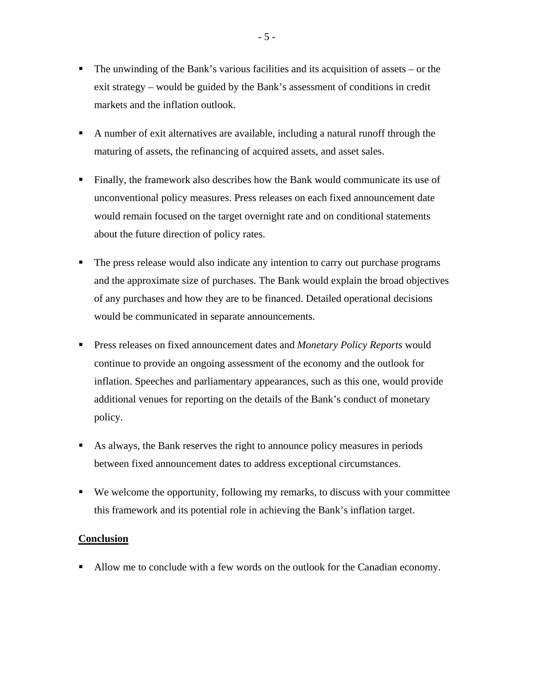- $\blacksquare$  The unwinding of the Bank's various facilities and its acquisition of assets or the exit strategy – would be guided by the Bank's assessment of conditions in credit markets and the inflation outlook.
- A number of exit alternatives are available, including a natural runoff through the maturing of assets, the refinancing of acquired assets, and asset sales.
- Finally, the framework also describes how the Bank would communicate its use of unconventional policy measures. Press releases on each fixed announcement date would remain focused on the target overnight rate and on conditional statements about the future direction of policy rates.
- The press release would also indicate any intention to carry out purchase programs and the approximate size of purchases. The Bank would explain the broad objectives of any purchases and how they are to be financed. Detailed operational decisions would be communicated in separate announcements.
- Press releases on fixed announcement dates and *Monetary Policy Reports* would continue to provide an ongoing assessment of the economy and the outlook for inflation. Speeches and parliamentary appearances, such as this one, would provide additional venues for reporting on the details of the Bank's conduct of monetary policy.
- As always, the Bank reserves the right to announce policy measures in periods between fixed announcement dates to address exceptional circumstances.
- We welcome the opportunity, following my remarks, to discuss with your committee this framework and its potential role in achieving the Bank's inflation target.

## **Conclusion**

Allow me to conclude with a few words on the outlook for the Canadian economy.